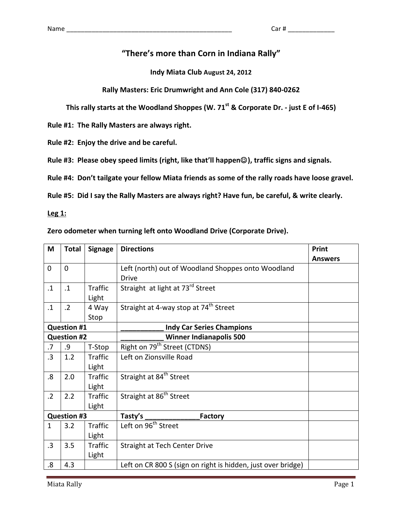### "There's more than Corn in Indiana Rally"

**Indy Miata Club August 24, 2012**

### **Rally Masters: Eric Drumwright and Ann Cole (317) 840-0262**

**This rally starts at the Woodland Shoppes (W. 71<sup>st</sup> & Corporate Dr. - just E of I-465)** 

Rule #1: The Rally Masters are always right.

Rule #2: Enjoy the drive and be careful.

Rule #3: Please obey speed limits (right, like that'll happen<sup>©</sup>), traffic signs and signals.

Rule #4: Don't tailgate your fellow Miata friends as some of the rally roads have loose gravel.

Rule #5: Did I say the Rally Masters are always right? Have fun, be careful, & write clearly.

**Leg 1:** 

#### Zero odometer when turning left onto Woodland Drive (Corporate Drive).

| M                  | <b>Total</b>       | <b>Signage</b> | <b>Directions</b>                                            | <b>Print</b>   |
|--------------------|--------------------|----------------|--------------------------------------------------------------|----------------|
|                    |                    |                |                                                              | <b>Answers</b> |
| $\overline{0}$     | 0                  |                | Left (north) out of Woodland Shoppes onto Woodland           |                |
|                    |                    |                | <b>Drive</b>                                                 |                |
| $\cdot$ 1          | $\cdot$ 1          | <b>Traffic</b> | Straight at light at 73rd Street                             |                |
|                    |                    | Light          |                                                              |                |
| $\cdot$ 1          | $\cdot$ 2          | 4 Way          | Straight at 4-way stop at 74 <sup>th</sup> Street            |                |
|                    |                    | Stop           |                                                              |                |
| <b>Question #1</b> |                    |                | <b>Indy Car Series Champions</b>                             |                |
|                    | <b>Question #2</b> |                | <b>Winner Indianapolis 500</b>                               |                |
| $\overline{.7}$    | .9                 | T-Stop         | Right on 79 <sup>th</sup> Street (CTDNS)                     |                |
| .3                 | 1.2                | <b>Traffic</b> | Left on Zionsville Road                                      |                |
|                    |                    | Light          |                                                              |                |
| .8                 | 2.0                | <b>Traffic</b> | Straight at 84 <sup>th</sup> Street                          |                |
|                    |                    | Light          |                                                              |                |
| $\cdot$ .2         | 2.2                | <b>Traffic</b> | Straight at 86 <sup>th</sup> Street                          |                |
|                    |                    | Light          |                                                              |                |
| <b>Question #3</b> |                    |                | Tasty's _<br><b>Factory</b>                                  |                |
| $\mathbf{1}$       | 3.2                | Traffic        | Left on 96 <sup>th</sup> Street                              |                |
|                    |                    | Light          |                                                              |                |
| $\cdot$ 3          | 3.5                | Traffic        | <b>Straight at Tech Center Drive</b>                         |                |
|                    |                    | Light          |                                                              |                |
| 8.5                | 4.3                |                | Left on CR 800 S (sign on right is hidden, just over bridge) |                |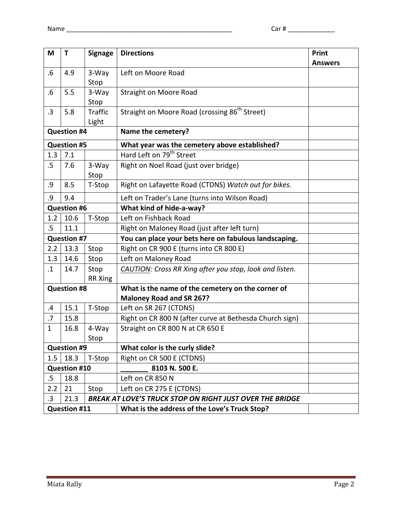| M                  | T                     | <b>Signage</b> | <b>Directions</b>                                               | Print          |
|--------------------|-----------------------|----------------|-----------------------------------------------------------------|----------------|
|                    |                       |                |                                                                 | <b>Answers</b> |
| .6                 | 4.9                   | 3-Way          | Left on Moore Road                                              |                |
|                    |                       | Stop           |                                                                 |                |
| $.6\,$             | 5.5                   | 3-Way          | <b>Straight on Moore Road</b>                                   |                |
|                    |                       | Stop           |                                                                 |                |
| $\cdot$ 3          | 5.8                   | <b>Traffic</b> | Straight on Moore Road (crossing 86 <sup>th</sup> Street)       |                |
|                    |                       | Light          |                                                                 |                |
| <b>Question #4</b> |                       |                | Name the cemetery?                                              |                |
| <b>Question #5</b> |                       |                | What year was the cemetery above established?                   |                |
| 1.3                | 7.1                   |                | Hard Left on 79 <sup>th</sup> Street                            |                |
| .5                 | 7.6                   | 3-Way          | Right on Noel Road (just over bridge)                           |                |
|                    |                       | Stop           |                                                                 |                |
| .9                 | 8.5                   | T-Stop         | Right on Lafayette Road (CTDNS) Watch out for bikes.            |                |
| .9                 | 9.4                   |                | Left on Trader's Lane (turns into Wilson Road)                  |                |
| <b>Question #6</b> |                       |                | What kind of hide-a-way?                                        |                |
| 1.2                | 10.6                  | T-Stop         | Left on Fishback Road                                           |                |
| $.5\,$             | 11.1                  |                | Right on Maloney Road (just after left turn)                    |                |
|                    | <b>Question #7</b>    |                | You can place your bets here on fabulous landscaping.           |                |
| 2.2                | 13.3                  | Stop           | Right on CR 900 E (turns into CR 800 E)                         |                |
| 1.3                | 14.6                  | Stop           | Left on Maloney Road                                            |                |
| $\cdot$ 1          | 14.7                  | Stop           | CAUTION: Cross RR Xing after you stop, look and listen.         |                |
|                    |                       | <b>RR Xing</b> |                                                                 |                |
| <b>Question #8</b> |                       |                | What is the name of the cemetery on the corner of               |                |
|                    |                       |                | <b>Maloney Road and SR 267?</b>                                 |                |
| $\cdot$            | 15.1                  | T-Stop         | Left on SR 267 (CTDNS)                                          |                |
| .7                 | 15.8                  |                | Right on CR 800 N (after curve at Bethesda Church sign)         |                |
| $\mathbf{1}$       | 16.8                  | 4-Way          | Straight on CR 800 N at CR 650 E                                |                |
|                    |                       | Stop           |                                                                 |                |
|                    | <b>Question #9</b>    |                | What color is the curly slide?                                  |                |
|                    | 18.3<br>1.5<br>T-Stop |                | Right on CR 500 E (CTDNS)                                       |                |
|                    | <b>Question #10</b>   |                | 8103 N. 500 E.                                                  |                |
| .5                 | 18.8                  |                | Left on CR 850 N                                                |                |
| 2.2                | 21                    | Stop           | Left on CR 275 E (CTDNS)                                        |                |
|                    | .3<br>21.3            |                | <b>BREAK AT LOVE'S TRUCK STOP ON RIGHT JUST OVER THE BRIDGE</b> |                |
| Question #11       |                       |                | What is the address of the Love's Truck Stop?                   |                |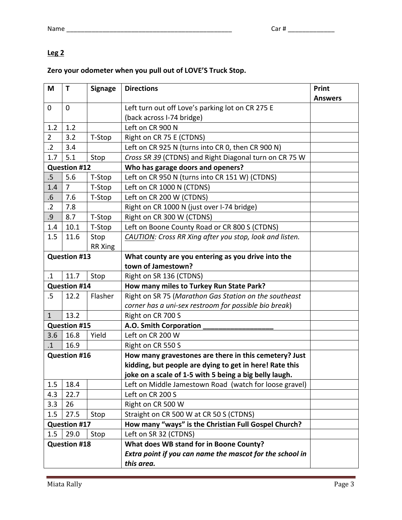## **Leg 2**

# Zero your odometer when you pull out of LOVE'S Truck Stop.

| M                   | Τ                   | <b>Signage</b> | <b>Directions</b>                                        | Print          |
|---------------------|---------------------|----------------|----------------------------------------------------------|----------------|
| $\overline{0}$      | $\mathbf{0}$        |                | Left turn out off Love's parking lot on CR 275 E         | <b>Answers</b> |
|                     |                     |                | (back across I-74 bridge)                                |                |
| 1.2                 | 1.2                 |                | Left on CR 900 N                                         |                |
| $\overline{2}$      | 3.2                 | T-Stop         | Right on CR 75 E (CTDNS)                                 |                |
| $\cdot$ 2           | 3.4                 |                | Left on CR 925 N (turns into CR 0, then CR 900 N)        |                |
| 1.7                 | 5.1                 | Stop           | Cross SR 39 (CTDNS) and Right Diagonal turn on CR 75 W   |                |
|                     | <b>Question #12</b> |                | Who has garage doors and openers?                        |                |
| $.5\,$              | 5.6                 | T-Stop         | Left on CR 950 N (turns into CR 151 W) (CTDNS)           |                |
| 1.4                 | $\overline{7}$      | T-Stop         | Left on CR 1000 N (CTDNS)                                |                |
| .6                  | 7.6                 | T-Stop         | Left on CR 200 W (CTDNS)                                 |                |
| $\cdot$ .2          | 7.8                 |                | Right on CR 1000 N (just over I-74 bridge)               |                |
| .9                  | 8.7                 | T-Stop         | Right on CR 300 W (CTDNS)                                |                |
| 1.4                 | 10.1                | T-Stop         | Left on Boone County Road or CR 800 S (CTDNS)            |                |
| 1.5                 | 11.6                | Stop           | CAUTION: Cross RR Xing after you stop, look and listen.  |                |
|                     |                     | <b>RR Xing</b> |                                                          |                |
| <b>Question #13</b> |                     |                | What county are you entering as you drive into the       |                |
|                     |                     |                | town of Jamestown?                                       |                |
| $\cdot$ 1           | 11.7                | Stop           | Right on SR 136 (CTDNS)                                  |                |
|                     | <b>Question #14</b> |                | How many miles to Turkey Run State Park?                 |                |
| $.5\,$              | 12.2                | Flasher        | Right on SR 75 (Marathon Gas Station on the southeast    |                |
|                     |                     |                | corner has a uni-sex restroom for possible bio break)    |                |
| $\mathbf{1}$        | 13.2                |                | Right on CR 700 S                                        |                |
| <b>Question #15</b> |                     |                | A.O. Smith Corporation                                   |                |
| 3.6                 | 16.8                | Yield          | Left on CR 200 W                                         |                |
| $\cdot$ 1           | 16.9                |                | Right on CR 550 S                                        |                |
|                     | <b>Question #16</b> |                | How many gravestones are there in this cemetery? Just    |                |
|                     |                     |                | kidding, but people are dying to get in here! Rate this  |                |
|                     |                     |                | joke on a scale of 1-5 with 5 being a big belly laugh.   |                |
| 1.5                 | 18.4                |                | Left on Middle Jamestown Road (watch for loose gravel)   |                |
| 4.3                 | 22.7                |                | Left on CR 200 S                                         |                |
| 3.3                 | 26                  |                | Right on CR 500 W                                        |                |
| 1.5                 | 27.5                | Stop           | Straight on CR 500 W at CR 50 S (CTDNS)                  |                |
| <b>Question #17</b> |                     |                | How many "ways" is the Christian Full Gospel Church?     |                |
| 1.5                 | 29.0                | Stop           | Left on SR 32 (CTDNS)                                    |                |
| <b>Question #18</b> |                     |                | What does WB stand for in Boone County?                  |                |
|                     |                     |                | Extra point if you can name the mascot for the school in |                |
|                     |                     |                | this area.                                               |                |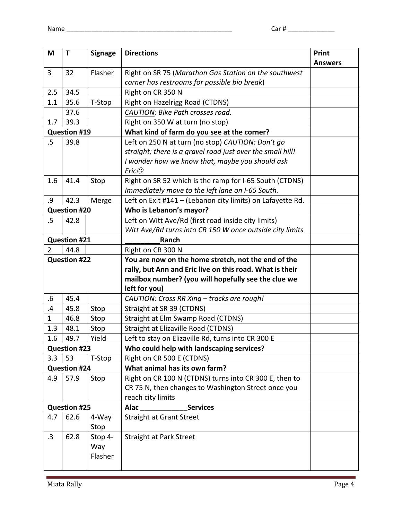| M                                          | $\mathsf T$         | <b>Signage</b> | <b>Directions</b>                                           | Print          |
|--------------------------------------------|---------------------|----------------|-------------------------------------------------------------|----------------|
| 3                                          | 32                  | Flasher        | Right on SR 75 (Marathon Gas Station on the southwest       | <b>Answers</b> |
|                                            |                     |                | corner has restrooms for possible bio break)                |                |
| 2.5                                        | 34.5                |                | Right on CR 350 N                                           |                |
| 1.1                                        | 35.6                | T-Stop         | Right on Hazelrigg Road (CTDNS)                             |                |
|                                            | 37.6                |                | CAUTION: Bike Path crosses road.                            |                |
| 1.7                                        | 39.3                |                | Right on 350 W at turn (no stop)                            |                |
|                                            | <b>Question #19</b> |                | What kind of farm do you see at the corner?                 |                |
| $.5\,$                                     | 39.8                |                | Left on 250 N at turn (no stop) CAUTION: Don't go           |                |
|                                            |                     |                | straight; there is a gravel road just over the small hill!  |                |
|                                            |                     |                | I wonder how we know that, maybe you should ask             |                |
|                                            |                     |                | Eric $\circledcirc$                                         |                |
| 1.6                                        | 41.4                | Stop           | Right on SR 52 which is the ramp for I-65 South (CTDNS)     |                |
|                                            |                     |                | Immediately move to the left lane on I-65 South.            |                |
| .9                                         | 42.3                | Merge          | Left on Exit #141 - (Lebanon city limits) on Lafayette Rd.  |                |
| <b>Question #20</b>                        |                     |                | Who is Lebanon's mayor?                                     |                |
| .5                                         | 42.8                |                | Left on Witt Ave/Rd (first road inside city limits)         |                |
|                                            |                     |                | Witt Ave/Rd turns into CR 150 W once outside city limits    |                |
| <b>Question #21</b>                        |                     |                | Ranch                                                       |                |
| 44.8<br>$\overline{2}$                     |                     |                | Right on CR 300 N                                           |                |
| <b>Question #22</b>                        |                     |                | You are now on the home stretch, not the end of the         |                |
|                                            |                     |                | rally, but Ann and Eric live on this road. What is their    |                |
|                                            |                     |                | mailbox number? (you will hopefully see the clue we         |                |
| $.6\,$                                     | 45.4                |                | left for you)<br>CAUTION: Cross RR Xing - tracks are rough! |                |
| .4                                         | 45.8                | Stop           | Straight at SR 39 (CTDNS)                                   |                |
| $\mathbf{1}$                               | 46.8                | Stop           | Straight at Elm Swamp Road (CTDNS)                          |                |
| 1.3                                        | 48.1                | Stop           | Straight at Elizaville Road (CTDNS)                         |                |
| 1.6                                        | 49.7                | Yield          | Left to stay on Elizaville Rd, turns into CR 300 E          |                |
|                                            |                     |                | Who could help with landscaping services?                   |                |
| <b>Question #23</b><br>3.3<br>53<br>T-Stop |                     |                | Right on CR 500 E (CTDNS)                                   |                |
|                                            | <b>Question #24</b> |                | What animal has its own farm?                               |                |
| 4.9                                        | 57.9                | Stop           | Right on CR 100 N (CTDNS) turns into CR 300 E, then to      |                |
|                                            |                     |                | CR 75 N, then changes to Washington Street once you         |                |
|                                            |                     |                | reach city limits                                           |                |
| <b>Question #25</b>                        |                     |                | <b>Services</b><br><b>Alac</b>                              |                |
| 4.7                                        | 62.6                | 4-Way          | <b>Straight at Grant Street</b>                             |                |
|                                            |                     | Stop           |                                                             |                |
| .3                                         | 62.8                | Stop 4-        | <b>Straight at Park Street</b>                              |                |
|                                            |                     | Way            |                                                             |                |
|                                            |                     | Flasher        |                                                             |                |
|                                            |                     |                |                                                             |                |